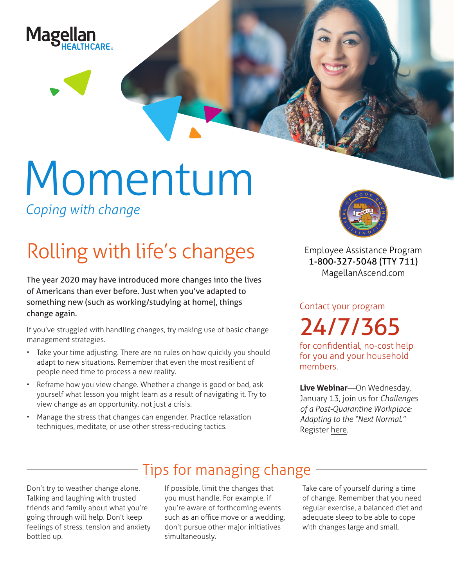

# Momentum *Coping with change*

## Rolling with life's changes

The year 2020 may have introduced more changes into the lives of Americans than ever before. Just when you've adapted to something new (such as working/studying at home), things change again.

If you've struggled with handling changes, try making use of basic change management strategies.

- Take your time adjusting. There are no rules on how quickly you should adapt to new situations. Remember that even the most resilient of people need time to process a new reality.
- Reframe how you view change. Whether a change is good or bad, ask yourself what lesson you might learn as a result of navigating it. Try to view change as an opportunity, not just a crisis.
- Manage the stress that changes can engender. Practice relaxation techniques, meditate, or use other stress-reducing tactics.



**Employee Assistance Program 1-800-327-5048 (TTY 711) MagellanAscend.com**

Contact your program 24/7/365

for confidential, no-cost help for you and your household members.

**Live Webinar**—On Wednesday, January 13, join us for *Challenges of a Post-Quarantine Workplace: Adapting to the "Next Normal."* Register [here.](https://events-na4.adobeconnect.com/content/connect/c1/825364167/en/events/event/shared/default_template_simple/event_registration.html?connect-session=na4breezo7f6f7eabx8r42ea&sco-id=1840020374&_charset_=utf-8)

### Tips for managing change

Don't try to weather change alone. Talking and laughing with trusted friends and family about what you're going through will help. Don't keep feelings of stress, tension and anxiety bottled up.

If possible, limit the changes that you must handle. For example, if you're aware of forthcoming events such as an office move or a wedding, don't pursue other major initiatives simultaneously.

Take care of yourself during a time of change. Remember that you need regular exercise, a balanced diet and adequate sleep to be able to cope with changes large and small.